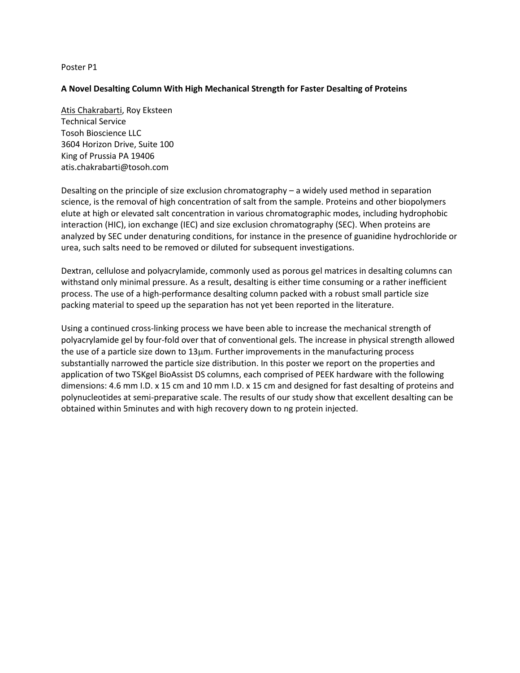## **A Novel Desalting Column With High Mechanical Strength for Faster Desalting of Proteins**

Atis Chakrabarti, Roy Eksteen Technical Service Tosoh Bioscience LLC 3604 Horizon Drive, Suite 100 King of Prussia PA 19406 atis.chakrabarti@tosoh.com

Desalting on the principle of size exclusion chromatography – a widely used method in separation science, is the removal of high concentration of salt from the sample. Proteins and other biopolymers elute at high or elevated salt concentration in various chromatographic modes, including hydrophobic interaction (HIC), ion exchange (IEC) and size exclusion chromatography (SEC). When proteins are analyzed by SEC under denaturing conditions, for instance in the presence of guanidine hydrochloride or urea, such salts need to be removed or diluted for subsequent investigations.

Dextran, cellulose and polyacrylamide, commonly used as porous gel matrices in desalting columns can withstand only minimal pressure. As a result, desalting is either time consuming or a rather inefficient process. The use of a high-performance desalting column packed with a robust small particle size packing material to speed up the separation has not yet been reported in the literature.

Using a continued cross-linking process we have been able to increase the mechanical strength of polyacrylamide gel by four-fold over that of conventional gels. The increase in physical strength allowed the use of a particle size down to 13µm. Further improvements in the manufacturing process substantially narrowed the particle size distribution. In this poster we report on the properties and application of two TSKgel BioAssist DS columns, each comprised of PEEK hardware with the following dimensions: 4.6 mm I.D. x 15 cm and 10 mm I.D. x 15 cm and designed for fast desalting of proteins and polynucleotides at semi-preparative scale. The results of our study show that excellent desalting can be obtained within 5minutes and with high recovery down to ng protein injected.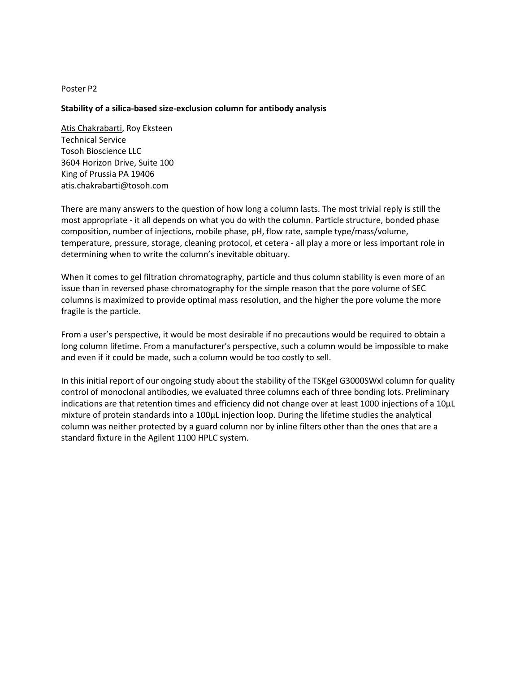## **Stability of a silica-based size-exclusion column for antibody analysis**

Atis Chakrabarti, Roy Eksteen Technical Service Tosoh Bioscience LLC 3604 Horizon Drive, Suite 100 King of Prussia PA 19406 atis.chakrabarti@tosoh.com

There are many answers to the question of how long a column lasts. The most trivial reply is still the most appropriate - it all depends on what you do with the column. Particle structure, bonded phase composition, number of injections, mobile phase, pH, flow rate, sample type/mass/volume, temperature, pressure, storage, cleaning protocol, et cetera - all play a more or less important role in determining when to write the column's inevitable obituary.

When it comes to gel filtration chromatography, particle and thus column stability is even more of an issue than in reversed phase chromatography for the simple reason that the pore volume of SEC columns is maximized to provide optimal mass resolution, and the higher the pore volume the more fragile is the particle.

From a user's perspective, it would be most desirable if no precautions would be required to obtain a long column lifetime. From a manufacturer's perspective, such a column would be impossible to make and even if it could be made, such a column would be too costly to sell.

In this initial report of our ongoing study about the stability of the TSKgel G3000SWxl column for quality control of monoclonal antibodies, we evaluated three columns each of three bonding lots. Preliminary indications are that retention times and efficiency did not change over at least 1000 injections of a 10µL mixture of protein standards into a 100µL injection loop. During the lifetime studies the analytical column was neither protected by a guard column nor by inline filters other than the ones that are a standard fixture in the Agilent 1100 HPLC system.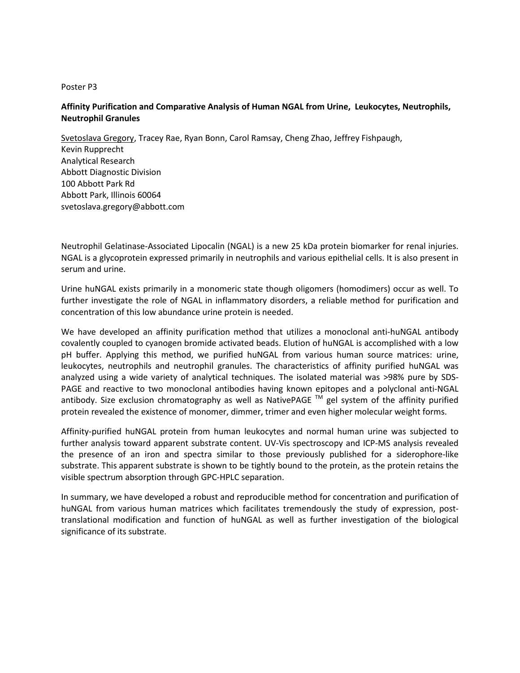# **Affinity Purification and Comparative Analysis of Human NGAL from Urine, Leukocytes, Neutrophils, Neutrophil Granules**

Svetoslava Gregory, Tracey Rae, Ryan Bonn, Carol Ramsay, Cheng Zhao, Jeffrey Fishpaugh, Kevin Rupprecht Analytical Research Abbott Diagnostic Division 100 Abbott Park Rd Abbott Park, Illinois 60064 svetoslava.gregory@abbott.com

Neutrophil Gelatinase-Associated Lipocalin (NGAL) is a new 25 kDa protein biomarker for renal injuries. NGAL is a glycoprotein expressed primarily in neutrophils and various epithelial cells. It is also present in serum and urine.

Urine huNGAL exists primarily in a monomeric state though oligomers (homodimers) occur as well. To further investigate the role of NGAL in inflammatory disorders, a reliable method for purification and concentration of this low abundance urine protein is needed.

We have developed an affinity purification method that utilizes a monoclonal anti-huNGAL antibody covalently coupled to cyanogen bromide activated beads. Elution of huNGAL is accomplished with a low pH buffer. Applying this method, we purified huNGAL from various human source matrices: urine, leukocytes, neutrophils and neutrophil granules. The characteristics of affinity purified huNGAL was analyzed using a wide variety of analytical techniques. The isolated material was >98% pure by SDS-PAGE and reactive to two monoclonal antibodies having known epitopes and a polyclonal anti-NGAL antibody. Size exclusion chromatography as well as NativePAGE  $\text{TM}$  gel system of the affinity purified protein revealed the existence of monomer, dimmer, trimer and even higher molecular weight forms.

Affinity-purified huNGAL protein from human leukocytes and normal human urine was subjected to further analysis toward apparent substrate content. UV-Vis spectroscopy and ICP-MS analysis revealed the presence of an iron and spectra similar to those previously published for a siderophore-like substrate. This apparent substrate is shown to be tightly bound to the protein, as the protein retains the visible spectrum absorption through GPC-HPLC separation.

In summary, we have developed a robust and reproducible method for concentration and purification of huNGAL from various human matrices which facilitates tremendously the study of expression, posttranslational modification and function of huNGAL as well as further investigation of the biological significance of its substrate.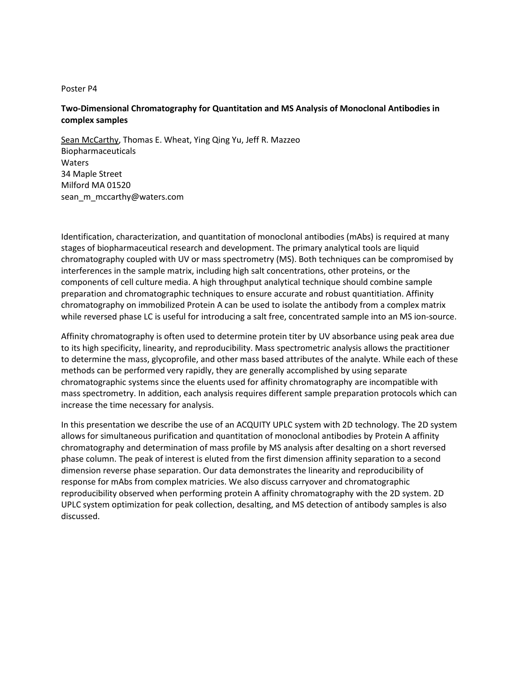# **Two-Dimensional Chromatography for Quantitation and MS Analysis of Monoclonal Antibodies in complex samples**

Sean McCarthy, Thomas E. Wheat, Ying Qing Yu, Jeff R. Mazzeo Biopharmaceuticals Waters 34 Maple Street Milford MA 01520 [sean\\_m\\_mccarthy@waters.com](mailto:sean_m_mccarthy@waters.com)

Identification, characterization, and quantitation of monoclonal antibodies (mAbs) is required at many stages of biopharmaceutical research and development. The primary analytical tools are liquid chromatography coupled with UV or mass spectrometry (MS). Both techniques can be compromised by interferences in the sample matrix, including high salt concentrations, other proteins, or the components of cell culture media. A high throughput analytical technique should combine sample preparation and chromatographic techniques to ensure accurate and robust quantitiation. Affinity chromatography on immobilized Protein A can be used to isolate the antibody from a complex matrix while reversed phase LC is useful for introducing a salt free, concentrated sample into an MS ion-source.

Affinity chromatography is often used to determine protein titer by UV absorbance using peak area due to its high specificity, linearity, and reproducibility. Mass spectrometric analysis allows the practitioner to determine the mass, glycoprofile, and other mass based attributes of the analyte. While each of these methods can be performed very rapidly, they are generally accomplished by using separate chromatographic systems since the eluents used for affinity chromatography are incompatible with mass spectrometry. In addition, each analysis requires different sample preparation protocols which can increase the time necessary for analysis.

In this presentation we describe the use of an ACQUITY UPLC system with 2D technology. The 2D system allows for simultaneous purification and quantitation of monoclonal antibodies by Protein A affinity chromatography and determination of mass profile by MS analysis after desalting on a short reversed phase column. The peak of interest is eluted from the first dimension affinity separation to a second dimension reverse phase separation. Our data demonstrates the linearity and reproducibility of response for mAbs from complex matricies. We also discuss carryover and chromatographic reproducibility observed when performing protein A affinity chromatography with the 2D system. 2D UPLC system optimization for peak collection, desalting, and MS detection of antibody samples is also discussed.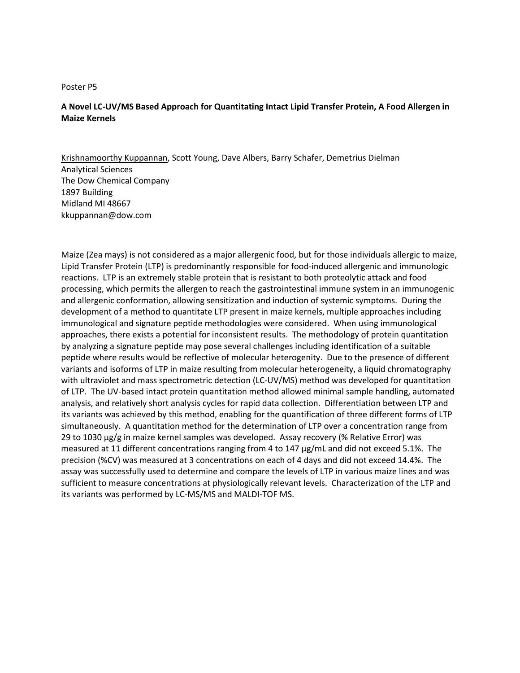# **A Novel LC-UV/MS Based Approach for Quantitating Intact Lipid Transfer Protein, A Food Allergen in Maize Kernels**

Krishnamoorthy Kuppannan, Scott Young, Dave Albers, Barry Schafer, Demetrius Dielman Analytical Sciences The Dow Chemical Company 1897 Building Midland MI 48667 kkuppannan@dow.com

Maize (Zea mays) is not considered as a major allergenic food, but for those individuals allergic to maize, Lipid Transfer Protein (LTP) is predominantly responsible for food-induced allergenic and immunologic reactions. LTP is an extremely stable protein that is resistant to both proteolytic attack and food processing, which permits the allergen to reach the gastrointestinal immune system in an immunogenic and allergenic conformation, allowing sensitization and induction of systemic symptoms. During the development of a method to quantitate LTP present in maize kernels, multiple approaches including immunological and signature peptide methodologies were considered. When using immunological approaches, there exists a potential for inconsistent results. The methodology of protein quantitation by analyzing a signature peptide may pose several challenges including identification of a suitable peptide where results would be reflective of molecular heterogenity. Due to the presence of different variants and isoforms of LTP in maize resulting from molecular heterogeneity, a liquid chromatography with ultraviolet and mass spectrometric detection (LC-UV/MS) method was developed for quantitation of LTP. The UV-based intact protein quantitation method allowed minimal sample handling, automated analysis, and relatively short analysis cycles for rapid data collection. Differentiation between LTP and its variants was achieved by this method, enabling for the quantification of three different forms of LTP simultaneously. A quantitation method for the determination of LTP over a concentration range from 29 to 1030 µg/g in maize kernel samples was developed. Assay recovery (% Relative Error) was measured at 11 different concentrations ranging from 4 to 147 µg/mL and did not exceed 5.1%. The precision (%CV) was measured at 3 concentrations on each of 4 days and did not exceed 14.4%. The assay was successfully used to determine and compare the levels of LTP in various maize lines and was sufficient to measure concentrations at physiologically relevant levels. Characterization of the LTP and its variants was performed by LC-MS/MS and MALDI-TOF MS.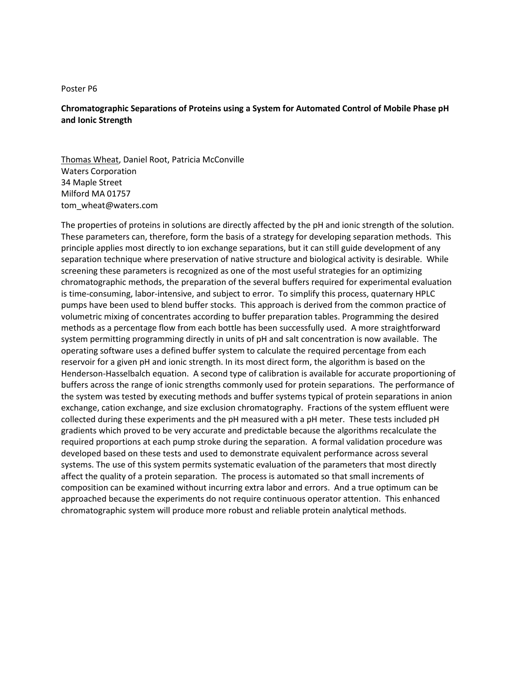# **Chromatographic Separations of Proteins using a System for Automated Control of Mobile Phase pH and Ionic Strength**

Thomas Wheat, Daniel Root, Patricia McConville Waters Corporation 34 Maple Street Milford MA 01757 tom\_wheat@waters.com

The properties of proteins in solutions are directly affected by the pH and ionic strength of the solution. These parameters can, therefore, form the basis of a strategy for developing separation methods. This principle applies most directly to ion exchange separations, but it can still guide development of any separation technique where preservation of native structure and biological activity is desirable. While screening these parameters is recognized as one of the most useful strategies for an optimizing chromatographic methods, the preparation of the several buffers required for experimental evaluation is time-consuming, labor-intensive, and subject to error. To simplify this process, quaternary HPLC pumps have been used to blend buffer stocks. This approach is derived from the common practice of volumetric mixing of concentrates according to buffer preparation tables. Programming the desired methods as a percentage flow from each bottle has been successfully used. A more straightforward system permitting programming directly in units of pH and salt concentration is now available. The operating software uses a defined buffer system to calculate the required percentage from each reservoir for a given pH and ionic strength. In its most direct form, the algorithm is based on the Henderson-Hasselbalch equation. A second type of calibration is available for accurate proportioning of buffers across the range of ionic strengths commonly used for protein separations. The performance of the system was tested by executing methods and buffer systems typical of protein separations in anion exchange, cation exchange, and size exclusion chromatography. Fractions of the system effluent were collected during these experiments and the pH measured with a pH meter. These tests included pH gradients which proved to be very accurate and predictable because the algorithms recalculate the required proportions at each pump stroke during the separation. A formal validation procedure was developed based on these tests and used to demonstrate equivalent performance across several systems. The use of this system permits systematic evaluation of the parameters that most directly affect the quality of a protein separation. The process is automated so that small increments of composition can be examined without incurring extra labor and errors. And a true optimum can be approached because the experiments do not require continuous operator attention. This enhanced chromatographic system will produce more robust and reliable protein analytical methods.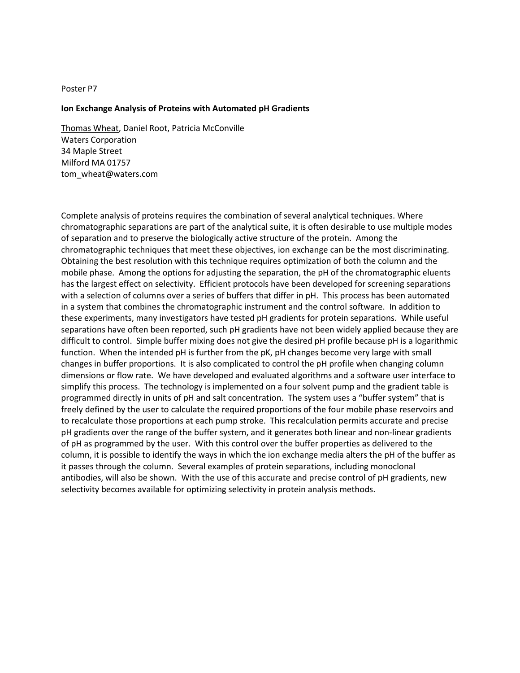#### **Ion Exchange Analysis of Proteins with Automated pH Gradients**

Thomas Wheat, Daniel Root, Patricia McConville Waters Corporation 34 Maple Street Milford MA 01757 tom\_wheat@waters.com

Complete analysis of proteins requires the combination of several analytical techniques. Where chromatographic separations are part of the analytical suite, it is often desirable to use multiple modes of separation and to preserve the biologically active structure of the protein. Among the chromatographic techniques that meet these objectives, ion exchange can be the most discriminating. Obtaining the best resolution with this technique requires optimization of both the column and the mobile phase. Among the options for adjusting the separation, the pH of the chromatographic eluents has the largest effect on selectivity. Efficient protocols have been developed for screening separations with a selection of columns over a series of buffers that differ in pH. This process has been automated in a system that combines the chromatographic instrument and the control software. In addition to these experiments, many investigators have tested pH gradients for protein separations. While useful separations have often been reported, such pH gradients have not been widely applied because they are difficult to control. Simple buffer mixing does not give the desired pH profile because pH is a logarithmic function. When the intended pH is further from the pK, pH changes become very large with small changes in buffer proportions. It is also complicated to control the pH profile when changing column dimensions or flow rate. We have developed and evaluated algorithms and a software user interface to simplify this process. The technology is implemented on a four solvent pump and the gradient table is programmed directly in units of pH and salt concentration. The system uses a "buffer system" that is freely defined by the user to calculate the required proportions of the four mobile phase reservoirs and to recalculate those proportions at each pump stroke. This recalculation permits accurate and precise pH gradients over the range of the buffer system, and it generates both linear and non-linear gradients of pH as programmed by the user. With this control over the buffer properties as delivered to the column, it is possible to identify the ways in which the ion exchange media alters the pH of the buffer as it passes through the column. Several examples of protein separations, including monoclonal antibodies, will also be shown. With the use of this accurate and precise control of pH gradients, new selectivity becomes available for optimizing selectivity in protein analysis methods.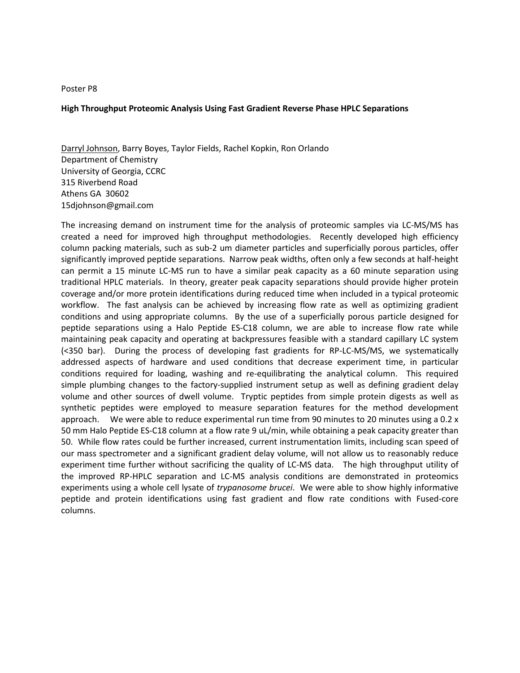#### **High Throughput Proteomic Analysis Using Fast Gradient Reverse Phase HPLC Separations**

Darryl Johnson, Barry Boyes, Taylor Fields, Rachel Kopkin, Ron Orlando Department of Chemistry University of Georgia, CCRC 315 Riverbend Road Athens GA30602 [15djohnson@gmail.com](mailto:15djohnson@gmail.com)

The increasing demand on instrument time for the analysis of proteomic samples via LC-MS/MS has created a need for improved high throughput methodologies. Recently developed high efficiency column packing materials, such as sub-2 um diameter particles and superficially porous particles, offer significantly improved peptide separations. Narrow peak widths, often only a few seconds at half-height can permit a 15 minute LC-MS run to have a similar peak capacity as a 60 minute separation using traditional HPLC materials. In theory, greater peak capacity separations should provide higher protein coverage and/or more protein identifications during reduced time when included in a typical proteomic workflow. The fast analysis can be achieved by increasing flow rate as well as optimizing gradient conditions and using appropriate columns. By the use of a superficially porous particle designed for peptide separations using a Halo Peptide ES-C18 column, we are able to increase flow rate while maintaining peak capacity and operating at backpressures feasible with a standard capillary LC system (<350 bar). During the process of developing fast gradients for RP-LC-MS/MS, we systematically addressed aspects of hardware and used conditions that decrease experiment time, in particular conditions required for loading, washing and re-equilibrating the analytical column. This required simple plumbing changes to the factory-supplied instrument setup as well as defining gradient delay volume and other sources of dwell volume. Tryptic peptides from simple protein digests as well as synthetic peptides were employed to measure separation features for the method development approach. We were able to reduce experimental run time from 90 minutes to 20 minutes using a 0.2 x 50 mm Halo Peptide ES-C18 column at a flow rate 9 uL/min, while obtaining a peak capacity greater than 50. While flow rates could be further increased, current instrumentation limits, including scan speed of our mass spectrometer and a significant gradient delay volume, will not allow us to reasonably reduce experiment time further without sacrificing the quality of LC-MS data. The high throughput utility of the improved RP-HPLC separation and LC-MS analysis conditions are demonstrated in proteomics experiments using a whole cell lysate of *trypanosome brucei*. We were able to show highly informative peptide and protein identifications using fast gradient and flow rate conditions with Fused-core columns.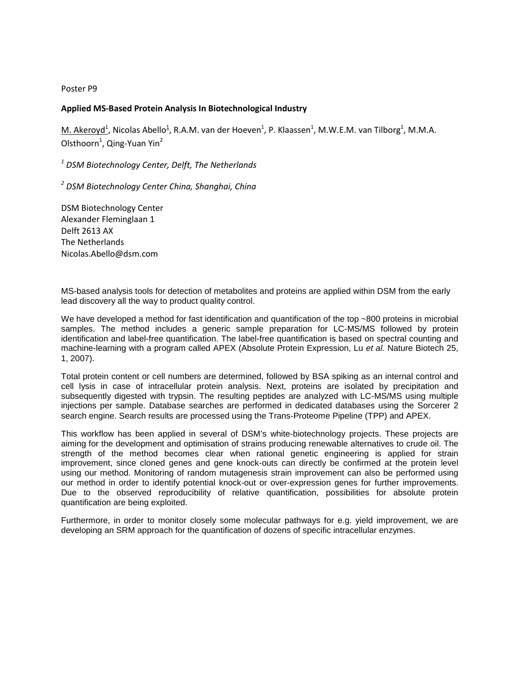## **Applied MS-Based Protein Analysis In Biotechnological Industry**

 $M$ . Akeroyd<sup>1</sup>, Nicolas Abello<sup>1</sup>, R.A.M. van der Hoeven<sup>1</sup>, P. Klaassen<sup>1</sup>, M.W.E.M. van Tilborg<sup>1</sup>, M.M.A. Olsthoorn<sup>1</sup>, Qing-Yuan Yin<sup>2</sup>

*<sup>1</sup> DSM Biotechnology Center, Delft, The Netherlands*

*<sup>2</sup> DSM Biotechnology Center China, Shanghai, China*

DSM Biotechnology Center Alexander Fleminglaan 1 Delft 2613 AX The Netherlands [Nicolas.Abello@dsm.com](mailto:Nicolas.Abello@dsm.com)

MS-based analysis tools for detection of metabolites and proteins are applied within DSM from the early lead discovery all the way to product quality control.

We have developed a method for fast identification and quantification of the top ~800 proteins in microbial samples. The method includes a generic sample preparation for LC-MS/MS followed by protein identification and label-free quantification. The label-free quantification is based on spectral counting and machine-learning with a program called APEX (Absolute Protein Expression, Lu *et al.* Nature Biotech 25, 1, 2007).

Total protein content or cell numbers are determined, followed by BSA spiking as an internal control and cell lysis in case of intracellular protein analysis. Next, proteins are isolated by precipitation and subsequently digested with trypsin. The resulting peptides are analyzed with LC-MS/MS using multiple injections per sample. Database searches are performed in dedicated databases using the Sorcerer 2 search engine. Search results are processed using the Trans-Proteome Pipeline (TPP) and APEX.

This workflow has been applied in several of DSM's white-biotechnology projects. These projects are aiming for the development and optimisation of strains producing renewable alternatives to crude oil. The strength of the method becomes clear when rational genetic engineering is applied for strain improvement, since cloned genes and gene knock-outs can directly be confirmed at the protein level using our method. Monitoring of random mutagenesis strain improvement can also be performed using our method in order to identify potential knock-out or over-expression genes for further improvements. Due to the observed reproducibility of relative quantification, possibilities for absolute protein quantification are being exploited.

Furthermore, in order to monitor closely some molecular pathways for e.g. yield improvement, we are developing an SRM approach for the quantification of dozens of specific intracellular enzymes.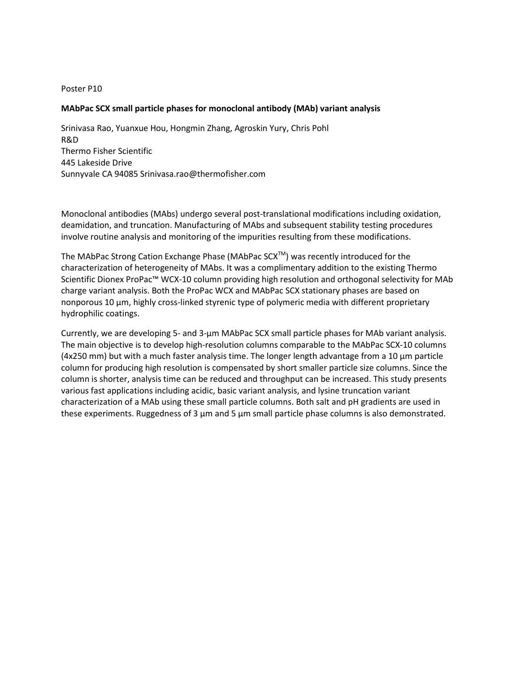#### **MAbPac SCX small particle phases for monoclonal antibody (MAb) variant analysis**

Srinivasa Rao, Yuanxue Hou, Hongmin Zhang, Agroskin Yury, Chris Pohl R&D Thermo Fisher Scientific 445 Lakeside Drive Sunnyvale CA 94085 Srinivasa.rao@thermofisher.com

Monoclonal antibodies (MAbs) undergo several post-translational modifications including oxidation, deamidation, and truncation. Manufacturing of MAbs and subsequent stability testing procedures involve routine analysis and monitoring of the impurities resulting from these modifications.

The MAbPac Strong Cation Exchange Phase (MAbPac  $SCX^{TM}$ ) was recently introduced for the characterization of heterogeneity of MAbs. It was a complimentary addition to the existing Thermo Scientific Dionex ProPac™ WCX-10 column providing high resolution and orthogonal selectivity for MAb charge variant analysis. Both the ProPac WCX and MAbPac SCX stationary phases are based on nonporous 10 µm, highly cross-linked styrenic type of polymeric media with different proprietary hydrophilic coatings.

Currently, we are developing 5- and 3-µm MAbPac SCX small particle phases for MAb variant analysis. The main objective is to develop high-resolution columns comparable to the MAbPac SCX-10 columns (4x250 mm) but with a much faster analysis time. The longer length advantage from a 10 µm particle column for producing high resolution is compensated by short smaller particle size columns. Since the column is shorter, analysis time can be reduced and throughput can be increased. This study presents various fast applications including acidic, basic variant analysis, and lysine truncation variant characterization of a MAb using these small particle columns. Both salt and pH gradients are used in these experiments. Ruggedness of 3  $\mu$ m and 5  $\mu$ m small particle phase columns is also demonstrated.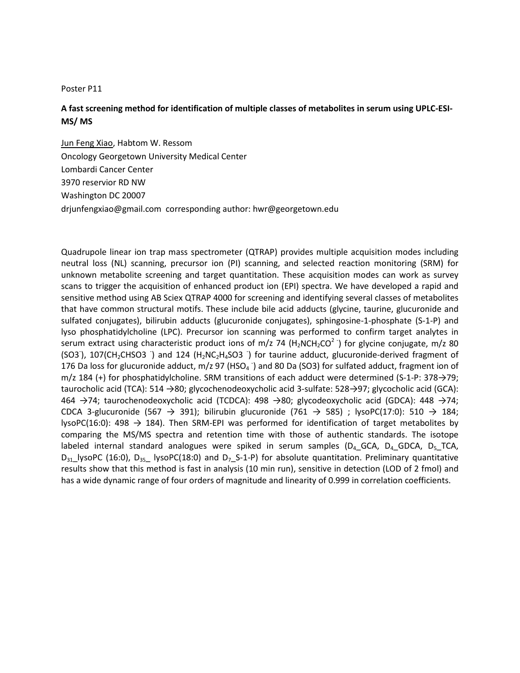# **A fast screening method for identification of multiple classes of metabolites in serum using UPLC-ESI-MS/ MS**

Jun Feng Xiao, Habtom W. Ressom Oncology Georgetown University Medical Center Lombardi Cancer Center 3970 reservior RD NW Washington DC 20007 [drjunfengxiao@gmail.com](mailto:drjunfengxiao@gmail.com) corresponding author: hwr@georgetown.edu

Quadrupole linear ion trap mass spectrometer (QTRAP) provides multiple acquisition modes including neutral loss (NL) scanning, precursor ion (PI) scanning, and selected reaction monitoring (SRM) for unknown metabolite screening and target quantitation. These acquisition modes can work as survey scans to trigger the acquisition of enhanced product ion (EPI) spectra. We have developed a rapid and sensitive method using AB Sciex QTRAP 4000 for screening and identifying several classes of metabolites that have common structural motifs. These include bile acid adducts (glycine, taurine, glucuronide and sulfated conjugates), bilirubin adducts (glucuronide conjugates), sphingosine-1-phosphate (S-1-P) and lyso phosphatidylcholine (LPC). Precursor ion scanning was performed to confirm target analytes in serum extract using characteristic product ions of m/z 74 (H<sub>2</sub>NCH<sub>2</sub>CO<sup>2</sup>) for glycine conjugate, m/z 80 (SO3), 107(CH<sub>2</sub>CHSO3) and 124 (H<sub>2</sub>NC<sub>2</sub>H<sub>4</sub>SO3) for taurine adduct, glucuronide-derived fragment of 176 Da loss for glucuronide adduct, m/z 97 (HSO<sub>4</sub> ) and 80 Da (SO3) for sulfated adduct, fragment ion of m/z 184 (+) for phosphatidylcholine. SRM transitions of each adduct were determined (S-1-P: 378→79; taurocholic acid (TCA): 514 →80; glycochenodeoxycholic acid 3-sulfate: 528→97; glycocholic acid (GCA): 464 →74; taurochenodeoxycholic acid (TCDCA): 498 →80; glycodeoxycholic acid (GDCA): 448 →74; CDCA 3-glucuronide (567  $\rightarrow$  391); bilirubin glucuronide (761  $\rightarrow$  585); lysoPC(17:0): 510  $\rightarrow$  184; lysoPC(16:0): 498  $\rightarrow$  184). Then SRM-EPI was performed for identification of target metabolites by comparing the MS/MS spectra and retention time with those of authentic standards. The isotope labeled internal standard analogues were spiked in serum samples ( $D_4$  GCA,  $D_4$  GDCA,  $D_5$  TCA,  $D_{31}$  lysoPC (16:0),  $D_{35}$  lysoPC(18:0) and  $D_7$  S-1-P) for absolute quantitation. Preliminary quantitative results show that this method is fast in analysis (10 min run), sensitive in detection (LOD of 2 fmol) and has a wide dynamic range of four orders of magnitude and linearity of 0.999 in correlation coefficients.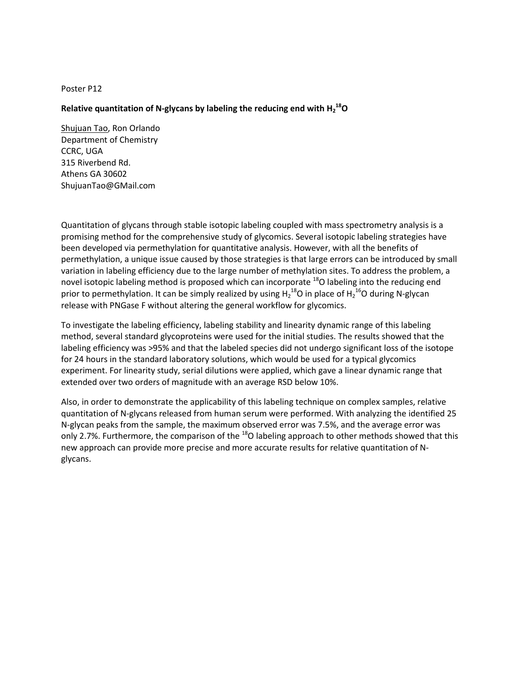# Relative quantitation of N-glycans by labeling the reducing end with H<sub>2</sub><sup>18</sup>O

Shujuan Tao, Ron Orlando Department of Chemistry CCRC, UGA 315 Riverbend Rd. Athens GA 30602 ShujuanTao@GMail.com

Quantitation of glycans through stable isotopic labeling coupled with mass spectrometry analysis is a promising method for the comprehensive study of glycomics. Several isotopic labeling strategies have been developed via permethylation for quantitative analysis. However, with all the benefits of permethylation, a unique issue caused by those strategies is that large errors can be introduced by small variation in labeling efficiency due to the large number of methylation sites. To address the problem, a novel isotopic labeling method is proposed which can incorporate <sup>18</sup>O labeling into the reducing end prior to permethylation. It can be simply realized by using  $H_2^{18}$ O in place of  $H_2^{16}$ O during N-glycan release with PNGase F without altering the general workflow for glycomics.

To investigate the labeling efficiency, labeling stability and linearity dynamic range of this labeling method, several standard glycoproteins were used for the initial studies. The results showed that the labeling efficiency was >95% and that the labeled species did not undergo significant loss of the isotope for 24 hours in the standard laboratory solutions, which would be used for a typical glycomics experiment. For linearity study, serial dilutions were applied, which gave a linear dynamic range that extended over two orders of magnitude with an average RSD below 10%.

Also, in order to demonstrate the applicability of this labeling technique on complex samples, relative quantitation of N-glycans released from human serum were performed. With analyzing the identified 25 N-glycan peaks from the sample, the maximum observed error was 7.5%, and the average error was only 2.7%. Furthermore, the comparison of the  $^{18}$ O labeling approach to other methods showed that this new approach can provide more precise and more accurate results for relative quantitation of Nglycans.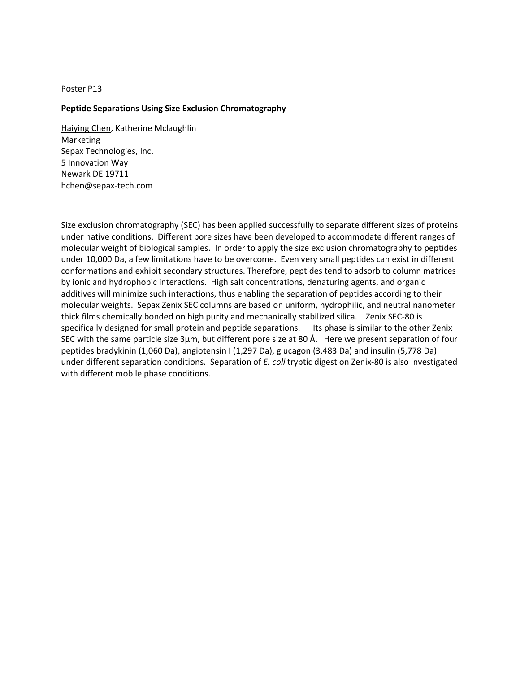## **Peptide Separations Using Size Exclusion Chromatography**

Haiying Chen, Katherine Mclaughlin Marketing Sepax Technologies, Inc. 5 Innovation Way Newark DE 19711 [hchen@sepax-tech.com](mailto:hchen@sepax-tech.com)

Size exclusion chromatography (SEC) has been applied successfully to separate different sizes of proteins under native conditions. Different pore sizes have been developed to accommodate different ranges of molecular weight of biological samples. In order to apply the size exclusion chromatography to peptides under 10,000 Da, a few limitations have to be overcome. Even very small peptides can exist in different conformations and exhibit secondary structures. Therefore, peptides tend to adsorb to column matrices by ionic and hydrophobic interactions. High salt concentrations, denaturing agents, and organic additives will minimize such interactions, thus enabling the separation of peptides according to their molecular weights. Sepax Zenix SEC columns are based on uniform, hydrophilic, and neutral nanometer thick films chemically bonded on high purity and mechanically stabilized silica. Zenix SEC-80 is specifically designed for small protein and peptide separations. Its phase is similar to the other Zenix SEC with the same particle size 3µm, but different pore size at 80 Å. Here we present separation of four peptides bradykinin (1,060 Da), angiotensin I (1,297 Da), glucagon (3,483 Da) and insulin (5,778 Da) under different separation conditions. Separation of *E. coli* tryptic digest on Zenix-80 is also investigated with different mobile phase conditions.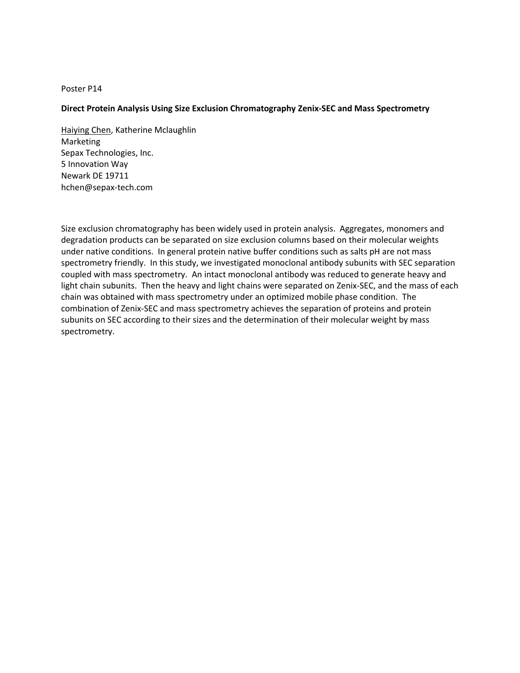## **Direct Protein Analysis Using Size Exclusion Chromatography Zenix-SEC and Mass Spectrometry**

Haiying Chen, Katherine Mclaughlin Marketing Sepax Technologies, Inc. 5 Innovation Way Newark DE 19711 [hchen@sepax-tech.com](mailto:hchen@sepax-tech.com)

Size exclusion chromatography has been widely used in protein analysis. Aggregates, monomers and degradation products can be separated on size exclusion columns based on their molecular weights under native conditions. In general protein native buffer conditions such as salts pH are not mass spectrometry friendly. In this study, we investigated monoclonal antibody subunits with SEC separation coupled with mass spectrometry. An intact monoclonal antibody was reduced to generate heavy and light chain subunits. Then the heavy and light chains were separated on Zenix-SEC, and the mass of each chain was obtained with mass spectrometry under an optimized mobile phase condition. The combination of Zenix-SEC and mass spectrometry achieves the separation of proteins and protein subunits on SEC according to their sizes and the determination of their molecular weight by mass spectrometry.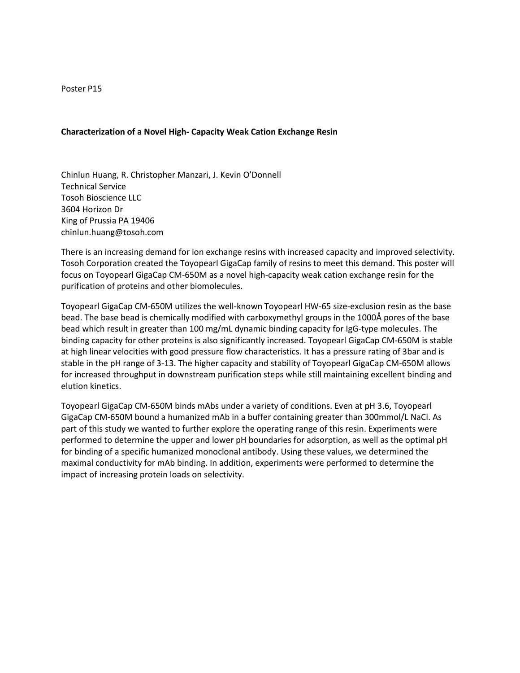#### **Characterization of a Novel High- Capacity Weak Cation Exchange Resin**

Chinlun Huang, R. Christopher Manzari, J. Kevin O'Donnell Technical Service Tosoh Bioscience LLC 3604 Horizon Dr King of Prussia PA 19406 chinlun.huang@tosoh.com

There is an increasing demand for ion exchange resins with increased capacity and improved selectivity. Tosoh Corporation created the Toyopearl GigaCap family of resins to meet this demand. This poster will focus on Toyopearl GigaCap CM-650M as a novel high-capacity weak cation exchange resin for the purification of proteins and other biomolecules.

Toyopearl GigaCap CM-650M utilizes the well-known Toyopearl HW-65 size-exclusion resin as the base bead. The base bead is chemically modified with carboxymethyl groups in the 1000Å pores of the base bead which result in greater than 100 mg/mL dynamic binding capacity for IgG-type molecules. The binding capacity for other proteins is also significantly increased. Toyopearl GigaCap CM-650M is stable at high linear velocities with good pressure flow characteristics. It has a pressure rating of 3bar and is stable in the pH range of 3-13. The higher capacity and stability of Toyopearl GigaCap CM-650M allows for increased throughput in downstream purification steps while still maintaining excellent binding and elution kinetics.

Toyopearl GigaCap CM-650M binds mAbs under a variety of conditions. Even at pH 3.6, Toyopearl GigaCap CM-650M bound a humanized mAb in a buffer containing greater than 300mmol/L NaCl. As part of this study we wanted to further explore the operating range of this resin. Experiments were performed to determine the upper and lower pH boundaries for adsorption, as well as the optimal pH for binding of a specific humanized monoclonal antibody. Using these values, we determined the maximal conductivity for mAb binding. In addition, experiments were performed to determine the impact of increasing protein loads on selectivity.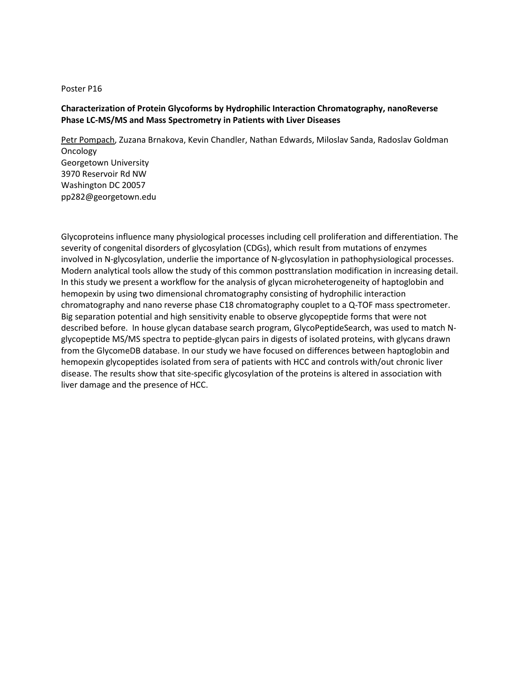# **Characterization of Protein Glycoforms by Hydrophilic Interaction Chromatography, nanoReverse Phase LC-MS/MS and Mass Spectrometry in Patients with Liver Diseases**

Petr Pompach, Zuzana Brnakova, Kevin Chandler, Nathan Edwards, Miloslav Sanda, Radoslav Goldman **Oncology** Georgetown University 3970 Reservoir Rd NW Washington DC 20057 pp282@georgetown.edu

Glycoproteins influence many physiological processes including cell proliferation and differentiation. The severity of congenital disorders of glycosylation (CDGs), which result from mutations of enzymes involved in N-glycosylation, underlie the importance of N-glycosylation in pathophysiological processes. Modern analytical tools allow the study of this common posttranslation modification in increasing detail. In this study we present a workflow for the analysis of glycan microheterogeneity of haptoglobin and hemopexin by using two dimensional chromatography consisting of hydrophilic interaction chromatography and nano reverse phase C18 chromatography couplet to a Q-TOF mass spectrometer. Big separation potential and high sensitivity enable to observe glycopeptide forms that were not described before. In house glycan database search program, GlycoPeptideSearch, was used to match Nglycopeptide MS/MS spectra to peptide-glycan pairs in digests of isolated proteins, with glycans drawn from the GlycomeDB database. In our study we have focused on differences between haptoglobin and hemopexin glycopeptides isolated from sera of patients with HCC and controls with/out chronic liver disease. The results show that site-specific glycosylation of the proteins is altered in association with liver damage and the presence of HCC.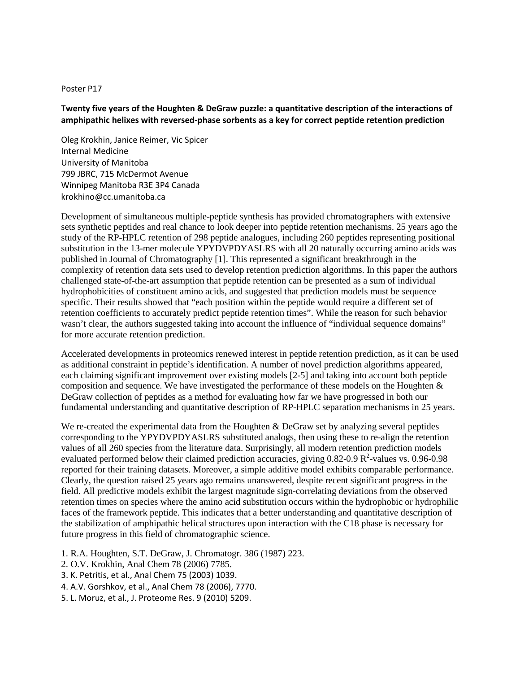# **Twenty five years of the Houghten & DeGraw puzzle: a quantitative description of the interactions of amphipathic helixes with reversed-phase sorbents as a key for correct peptide retention prediction**

Oleg Krokhin, Janice Reimer, Vic Spicer Internal Medicine University of Manitoba 799 JBRC, 715 McDermot Avenue Winnipeg Manitoba R3E 3P4 Canada krokhino@cc.umanitoba.ca

Development of simultaneous multiple-peptide synthesis has provided chromatographers with extensive sets synthetic peptides and real chance to look deeper into peptide retention mechanisms. 25 years ago the study of the RP-HPLC retention of 298 peptide analogues, including 260 peptides representing positional substitution in the 13-mer molecule YPYDVPDYASLRS with all 20 naturally occurring amino acids was published in Journal of Chromatography [1]. This represented a significant breakthrough in the complexity of retention data sets used to develop retention prediction algorithms. In this paper the authors challenged state-of-the-art assumption that peptide retention can be presented as a sum of individual hydrophobicities of constituent amino acids, and suggested that prediction models must be sequence specific. Their results showed that "each position within the peptide would require a different set of retention coefficients to accurately predict peptide retention times". While the reason for such behavior wasn't clear, the authors suggested taking into account the influence of "individual sequence domains" for more accurate retention prediction.

Accelerated developments in proteomics renewed interest in peptide retention prediction, as it can be used as additional constraint in peptide's identification. A number of novel prediction algorithms appeared, each claiming significant improvement over existing models [2-5] and taking into account both peptide composition and sequence. We have investigated the performance of these models on the Houghten & DeGraw collection of peptides as a method for evaluating how far we have progressed in both our fundamental understanding and quantitative description of RP-HPLC separation mechanisms in 25 years.

We re-created the experimental data from the Houghten & DeGraw set by analyzing several peptides corresponding to the YPYDVPDYASLRS substituted analogs, then using these to re-align the retention values of all 260 species from the literature data. Surprisingly, all modern retention prediction models evaluated performed below their claimed prediction accuracies, giving  $0.82$ -0.9  $\mathbb{R}^2$ -values vs. 0.96-0.98 reported for their training datasets. Moreover, a simple additive model exhibits comparable performance. Clearly, the question raised 25 years ago remains unanswered, despite recent significant progress in the field. All predictive models exhibit the largest magnitude sign-correlating deviations from the observed retention times on species where the amino acid substitution occurs within the hydrophobic or hydrophilic faces of the framework peptide. This indicates that a better understanding and quantitative description of the stabilization of amphipathic helical structures upon interaction with the C18 phase is necessary for future progress in this field of chromatographic science.

- 1. R.A. Houghten, S.T. DeGraw, J. Chromatogr. 386 (1987) 223.
- 2. O.V. Krokhin, Anal Chem 78 (2006) 7785.
- 3. K. Petritis, et al., Anal Chem 75 (2003) 1039.
- 4. A.V. Gorshkov, et al., Anal Chem 78 (2006), 7770.
- 5. L. Moruz, et al., J. Proteome Res. 9 (2010) 5209.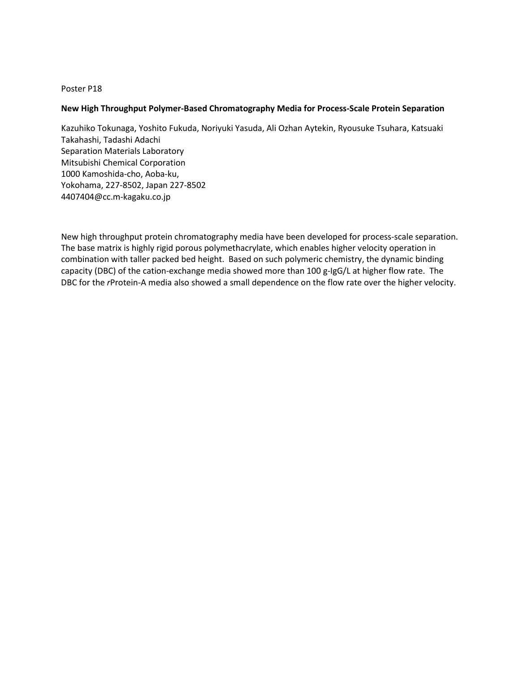## **New High Throughput Polymer-Based Chromatography Media for Process-Scale Protein Separation**

Kazuhiko Tokunaga, Yoshito Fukuda, Noriyuki Yasuda, Ali Ozhan Aytekin, Ryousuke Tsuhara, Katsuaki Takahashi, Tadashi Adachi Separation Materials Laboratory Mitsubishi Chemical Corporation 1000 Kamoshida-cho, Aoba-ku, Yokohama, 227-8502, Japan 227-8502 4407404@cc.m-kagaku.co.jp

New high throughput protein chromatography media have been developed for process-scale separation. The base matrix is highly rigid porous polymethacrylate, which enables higher velocity operation in combination with taller packed bed height. Based on such polymeric chemistry, the dynamic binding capacity (DBC) of the cation-exchange media showed more than 100 g-IgG/L at higher flow rate. The DBC for the *r*Protein-A media also showed a small dependence on the flow rate over the higher velocity.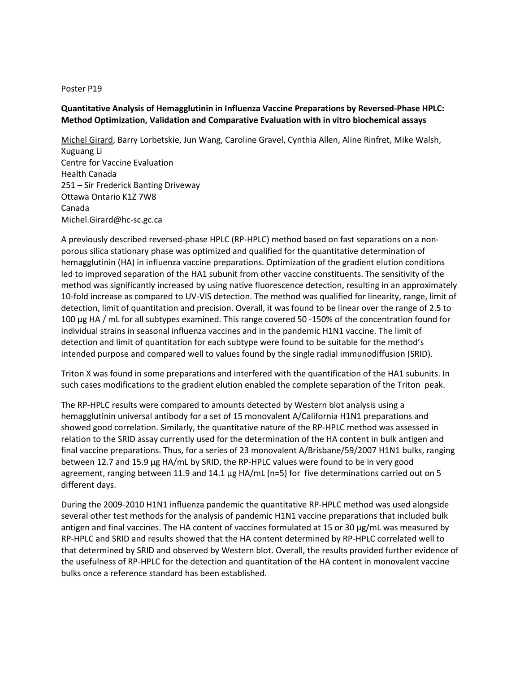# **Quantitative Analysis of Hemagglutinin in Influenza Vaccine Preparations by Reversed-Phase HPLC: Method Optimization, Validation and Comparative Evaluation with in vitro biochemical assays**

Michel Girard, Barry Lorbetskie, Jun Wang, Caroline Gravel, Cynthia Allen, Aline Rinfret, Mike Walsh, Xuguang Li Centre for Vaccine Evaluation Health Canada 251 – Sir Frederick Banting Driveway Ottawa Ontario K1Z 7W8 Canada Michel.Girard@hc-sc.gc.ca

A previously described reversed-phase HPLC (RP-HPLC) method based on fast separations on a nonporous silica stationary phase was optimized and qualified for the quantitative determination of hemagglutinin (HA) in influenza vaccine preparations. Optimization of the gradient elution conditions led to improved separation of the HA1 subunit from other vaccine constituents. The sensitivity of the method was significantly increased by using native fluorescence detection, resulting in an approximately 10-fold increase as compared to UV-VIS detection. The method was qualified for linearity, range, limit of detection, limit of quantitation and precision. Overall, it was found to be linear over the range of 2.5 to 100 µg HA / mL for all subtypes examined. This range covered 50 -150% of the concentration found for individual strains in seasonal influenza vaccines and in the pandemic H1N1 vaccine. The limit of detection and limit of quantitation for each subtype were found to be suitable for the method's intended purpose and compared well to values found by the single radial immunodiffusion (SRID).

Triton X was found in some preparations and interfered with the quantification of the HA1 subunits. In such cases modifications to the gradient elution enabled the complete separation of the Triton peak.

The RP-HPLC results were compared to amounts detected by Western blot analysis using a hemagglutinin universal antibody for a set of 15 monovalent A/California H1N1 preparations and showed good correlation. Similarly, the quantitative nature of the RP-HPLC method was assessed in relation to the SRID assay currently used for the determination of the HA content in bulk antigen and final vaccine preparations. Thus, for a series of 23 monovalent A/Brisbane/59/2007 H1N1 bulks, ranging between 12.7 and 15.9 μg HA/mL by SRID, the RP-HPLC values were found to be in very good agreement, ranging between 11.9 and 14.1 μg HA/mL (n=5) for five determinations carried out on 5 different days.

During the 2009-2010 H1N1 influenza pandemic the quantitative RP-HPLC method was used alongside several other test methods for the analysis of pandemic H1N1 vaccine preparations that included bulk antigen and final vaccines. The HA content of vaccines formulated at 15 or 30 μg/mL was measured by RP-HPLC and SRID and results showed that the HA content determined by RP-HPLC correlated well to that determined by SRID and observed by Western blot. Overall, the results provided further evidence of the usefulness of RP-HPLC for the detection and quantitation of the HA content in monovalent vaccine bulks once a reference standard has been established.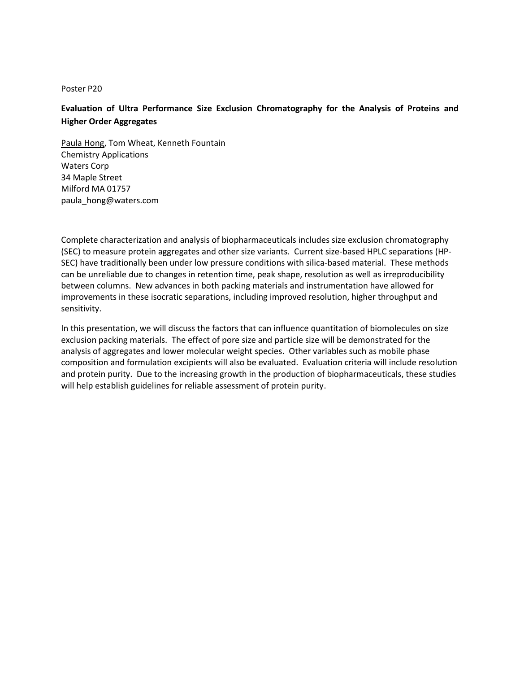# **Evaluation of Ultra Performance Size Exclusion Chromatography for the Analysis of Proteins and Higher Order Aggregates**

Paula Hong, Tom Wheat, Kenneth Fountain Chemistry Applications Waters Corp 34 Maple Street Milford MA 01757 paula\_hong@waters.com

Complete characterization and analysis of biopharmaceuticals includes size exclusion chromatography (SEC) to measure protein aggregates and other size variants. Current size-based HPLC separations (HP-SEC) have traditionally been under low pressure conditions with silica-based material. These methods can be unreliable due to changes in retention time, peak shape, resolution as well as irreproducibility between columns. New advances in both packing materials and instrumentation have allowed for improvements in these isocratic separations, including improved resolution, higher throughput and sensitivity.

In this presentation, we will discuss the factors that can influence quantitation of biomolecules on size exclusion packing materials. The effect of pore size and particle size will be demonstrated for the analysis of aggregates and lower molecular weight species. Other variables such as mobile phase composition and formulation excipients will also be evaluated. Evaluation criteria will include resolution and protein purity. Due to the increasing growth in the production of biopharmaceuticals, these studies will help establish guidelines for reliable assessment of protein purity.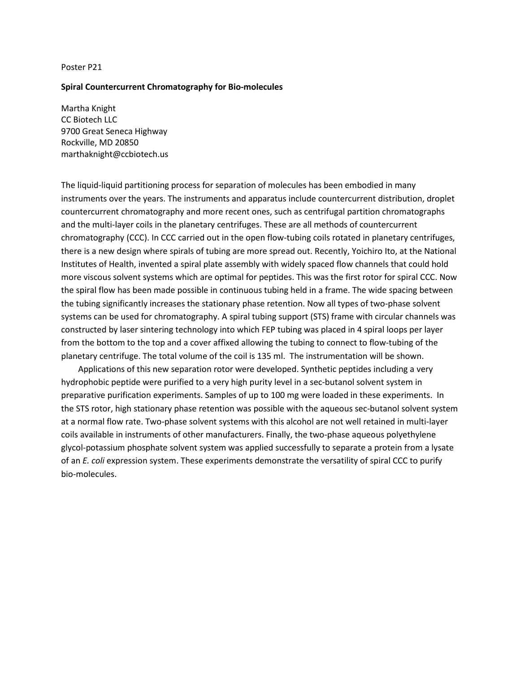#### **Spiral Countercurrent Chromatography for Bio-molecules**

Martha Knight CC Biotech LLC 9700 Great Seneca Highway Rockville, MD 20850 marthaknight@ccbiotech.us

The liquid-liquid partitioning process for separation of molecules has been embodied in many instruments over the years. The instruments and apparatus include countercurrent distribution, droplet countercurrent chromatography and more recent ones, such as centrifugal partition chromatographs and the multi-layer coils in the planetary centrifuges. These are all methods of countercurrent chromatography (CCC). In CCC carried out in the open flow-tubing coils rotated in planetary centrifuges, there is a new design where spirals of tubing are more spread out. Recently, Yoichiro Ito, at the National Institutes of Health, invented a spiral plate assembly with widely spaced flow channels that could hold more viscous solvent systems which are optimal for peptides. This was the first rotor for spiral CCC. Now the spiral flow has been made possible in continuous tubing held in a frame. The wide spacing between the tubing significantly increases the stationary phase retention. Now all types of two-phase solvent systems can be used for chromatography. A spiral tubing support (STS) frame with circular channels was constructed by laser sintering technology into which FEP tubing was placed in 4 spiral loops per layer from the bottom to the top and a cover affixed allowing the tubing to connect to flow-tubing of the planetary centrifuge. The total volume of the coil is 135 ml. The instrumentation will be shown.

 Applications of this new separation rotor were developed. Synthetic peptides including a very hydrophobic peptide were purified to a very high purity level in a sec-butanol solvent system in preparative purification experiments. Samples of up to 100 mg were loaded in these experiments. In the STS rotor, high stationary phase retention was possible with the aqueous sec-butanol solvent system at a normal flow rate. Two-phase solvent systems with this alcohol are not well retained in multi-layer coils available in instruments of other manufacturers. Finally, the two-phase aqueous polyethylene glycol-potassium phosphate solvent system was applied successfully to separate a protein from a lysate of an *E. coli* expression system. These experiments demonstrate the versatility of spiral CCC to purify bio-molecules.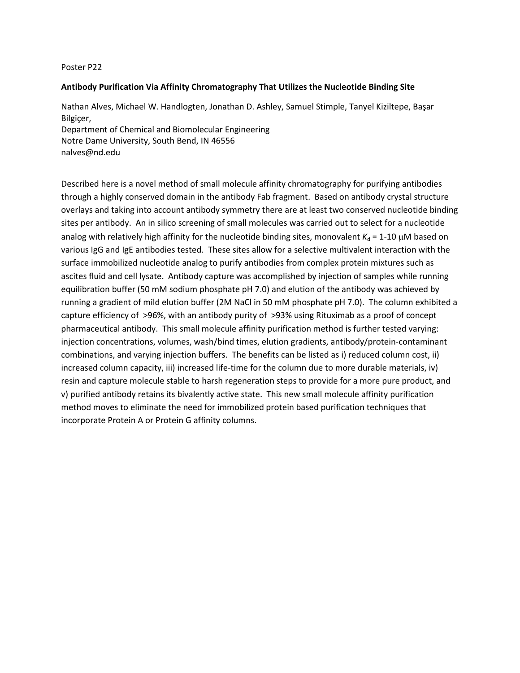## **Antibody Purification Via Affinity Chromatography That Utilizes the Nucleotide Binding Site**

Nathan Alves, Michael W. Handlogten, Jonathan D. Ashley, Samuel Stimple, Tanyel Kiziltepe, Başar Bilgiçer, Department of Chemical and Biomolecular Engineering Notre Dame University, South Bend, IN 46556

nalves@nd.edu

Described here is a novel method of small molecule affinity chromatography for purifying antibodies through a highly conserved domain in the antibody Fab fragment. Based on antibody crystal structure overlays and taking into account antibody symmetry there are at least two conserved nucleotide binding sites per antibody. An in silico screening of small molecules was carried out to select for a nucleotide analog with relatively high affinity for the nucleotide binding sites, monovalent  $K_d = 1-10 \mu M$  based on various IgG and IgE antibodies tested. These sites allow for a selective multivalent interaction with the surface immobilized nucleotide analog to purify antibodies from complex protein mixtures such as ascites fluid and cell lysate. Antibody capture was accomplished by injection of samples while running equilibration buffer (50 mM sodium phosphate pH 7.0) and elution of the antibody was achieved by running a gradient of mild elution buffer (2M NaCl in 50 mM phosphate pH 7.0). The column exhibited a capture efficiency of >96%, with an antibody purity of >93% using Rituximab as a proof of concept pharmaceutical antibody. This small molecule affinity purification method is further tested varying: injection concentrations, volumes, wash/bind times, elution gradients, antibody/protein-contaminant combinations, and varying injection buffers. The benefits can be listed as i) reduced column cost, ii) increased column capacity, iii) increased life-time for the column due to more durable materials, iv) resin and capture molecule stable to harsh regeneration steps to provide for a more pure product, and v) purified antibody retains its bivalently active state. This new small molecule affinity purification method moves to eliminate the need for immobilized protein based purification techniques that incorporate Protein A or Protein G affinity columns.